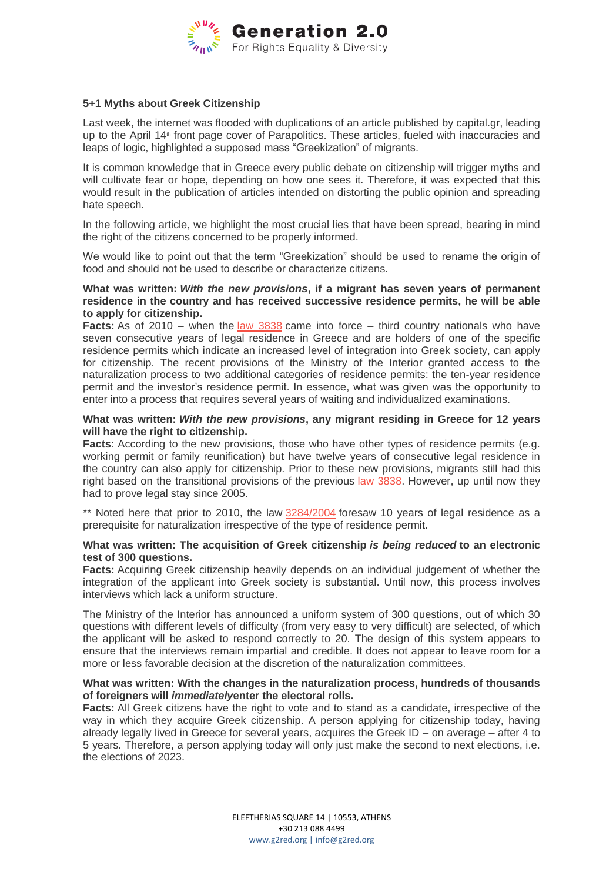

# **5+1 Myths about Greek Citizenship**

Last week, the internet was flooded with duplications of an article published by capital.gr, leading up to the April 14<sup>th</sup> front page cover of Parapolitics. These articles, fueled with inaccuracies and leaps of logic, highlighted a supposed mass "Greekization" of migrants.

It is common knowledge that in Greece every public debate on citizenship will trigger myths and will cultivate fear or hope, depending on how one sees it. Therefore, it was expected that this would result in the publication of articles intended on distorting the public opinion and spreading hate speech.

In the following article, we highlight the most crucial lies that have been spread, bearing in mind the right of the citizens concerned to be properly informed.

We would like to point out that the term "Greekization" should be used to rename the origin of food and should not be used to describe or characterize citizens.

# **What was written:** *With the new provisions***, if a migrant has seven years of permanent residence in the country and has received successive residence permits, he will be able to apply for citizenship.**

**Facts:** As of 2010 – when the [law 3838](http://www.ypes.gr/UserFiles/24e0c302-6021-4a6b-b7e4-8259e281e5f3/fek-49-3838-24032010.pdf) came into force – third country nationals who have seven consecutive years of legal residence in Greece and are holders of one of the specific residence permits which indicate an increased level of integration into Greek society, can apply for citizenship. The recent provisions of the Ministry of the Interior granted access to the naturalization process to two additional categories of residence permits: the ten-year residence permit and the investor's residence permit. In essence, what was given was the opportunity to enter into a process that requires several years of waiting and individualized examinations.

# **What was written:** *With the new provisions***, any migrant residing in Greece for 12 years will have the right to citizenship.**

**Facts:** According to the new provisions, those who have other types of residence permits (e.g. working permit or family reunification) but have twelve years of consecutive legal residence in the country can also apply for citizenship. Prior to these new provisions, migrants still had this right based on the transitional provisions of the previous [law 3838.](http://www.ypes.gr/UserFiles/24e0c302-6021-4a6b-b7e4-8259e281e5f3/fek-49-3838-24032010.pdf) However, up until now they had to prove legal stay since 2005.

\*\* Noted here that prior to 2010, the law [3284/2004](http://www.ypes.gr/UserFiles/24e0c302-6021-4a6b-b7e4-8259e281e5f3/fek-217-3284-10112004.pdf) foresaw 10 years of legal residence as a prerequisite for naturalization irrespective of the type of residence permit.

## **What was written: The acquisition of Greek citizenship** *is being reduced* **to an electronic test of 300 questions.**

**Facts:** Acquiring Greek citizenship heavily depends on an individual judgement of whether the integration of the applicant into Greek society is substantial. Until now, this process involves interviews which lack a uniform structure.

The Ministry of the Interior has announced a uniform system of 300 questions, out of which 30 questions with different levels of difficulty (from very easy to very difficult) are selected, of which the applicant will be asked to respond correctly to 20. The design of this system appears to ensure that the interviews remain impartial and credible. It does not appear to leave room for a more or less favorable decision at the discretion of the naturalization committees.

## **What was written: With the changes in the naturalization process, hundreds of thousands of foreigners will** *immediately***enter the electoral rolls.**

**Facts:** All Greek citizens have the right to vote and to stand as a candidate, irrespective of the way in which they acquire Greek citizenship. A person applying for citizenship today, having already legally lived in Greece for several years, acquires the Greek ID – on average – after 4 to 5 years. Therefore, a person applying today will only just make the second to next elections, i.e. the elections of 2023.

> ELEFTHERIAS SQUARE 14 | 10553, ATHENS +30 213 088 4499 www.g2red.org | info@g2red.org